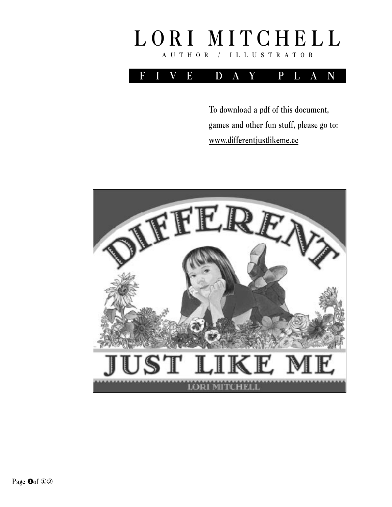



To download a pdf of this document, games and other fun stuff, please go to: www.differentjustlikeme.cc

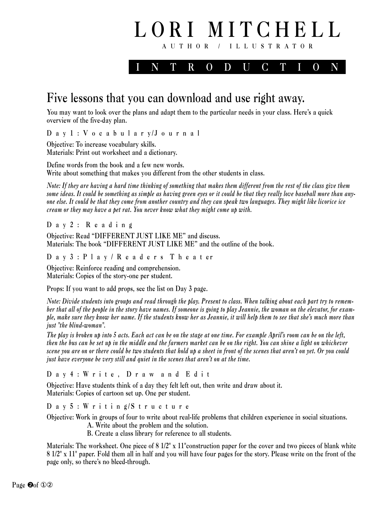

## Five lessons that you can download and use right away.

You may want to look over the plans and adapt them to the particular needs in your class. Here's a quick overview of the five-day plan.

D a y 1 : V o c a b u l a r y/J o u r n a l

Objective: To increase vocabulary skills. Materials: Print out worksheet and a dictionary.

Define words from the book and a few new words. Write about something that makes you different from the other students in class.

*Note: If they are having a hard time thinking of something that makes them different from the rest of the class give them some ideas. It could be something as simple as having green eyes or it could be that they really love baseball more than anyone else. It could be that they come from another country and they can speak two languages. They might like licorice ice cream or they may have a pet rat. You never know what they might come up with.*

D a y 2 : R e a d i n g

Objective: Read "DIFFERENT JUST LIKE ME" and discuss. Materials: The book "DIFFERENT JUST LIKE ME" and the outline of the book.

D a y 3 : P l a y / R e a d e r s T h e a t er

Objective: Reinforce reading and comprehension. Materials: Copies of the story-one per student.

Props: If you want to add props, see the list on Day 3 page.

*Note: Divide students into groups and read through the play. Present to class. When talking about each part try to remember that all of the people in the story have names. If someone is going to play Jeannie, the woman on the elevator, for example, make sure they know her name. If the students know her as Jeannie, it will help them to see that she's much more than just "the blind-woman".* 

*The play is broken up into 5 acts. Each act can be on the stage at one time. For example April's room can be on the left, then the bus can be set up in the middle and the farmers market can be on the right. You can shine a light on whichever scene you are on or there could be two students that hold up a sheet in front of the scenes that aren't on yet. Or you could just have everyone be very still and quiet in the scenes that aren't on at the time.*

D a y 4 : W r i t e , D r a w a n d E d i t

Objective: Have students think of a day they felt left out, then write and draw about it. Materials: Copies of cartoon set up. One per student.

D a y 5 : W r i t i n g/S t r u c t u r e

Objective: Work in groups of four to write about real-life problems that children experience in social situations.

A. Write about the problem and the solution.

B. Create a class library for reference to all students.

Materials: The worksheet. One piece of  $8\frac{1}{2}$  x  $11$ "construction paper for the cover and two pieces of blank white 8 1/2" x 11" paper. Fold them all in half and you will have four pages for the story. Please write on the front of the page only, so there's no bleed-through.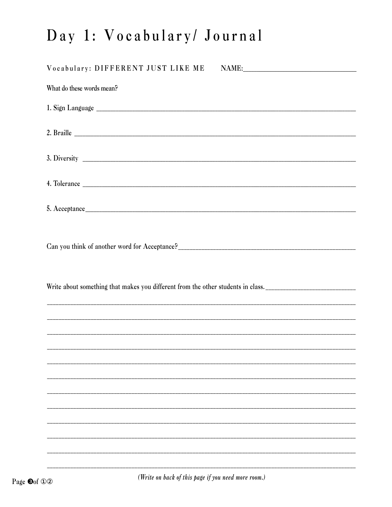## Day 1: Vocabulary/ Journal

| Vocabulary: DIFFERENT JUST LIKE ME                                                                                    |  |
|-----------------------------------------------------------------------------------------------------------------------|--|
| What do these words mean?                                                                                             |  |
|                                                                                                                       |  |
|                                                                                                                       |  |
|                                                                                                                       |  |
|                                                                                                                       |  |
|                                                                                                                       |  |
|                                                                                                                       |  |
|                                                                                                                       |  |
|                                                                                                                       |  |
| <u> 1989 - Johann Harry Harry Harry Harry Harry Harry Harry Harry Harry Harry Harry Harry Harry Harry Harry Harry</u> |  |
|                                                                                                                       |  |
|                                                                                                                       |  |
|                                                                                                                       |  |
|                                                                                                                       |  |
|                                                                                                                       |  |
|                                                                                                                       |  |
|                                                                                                                       |  |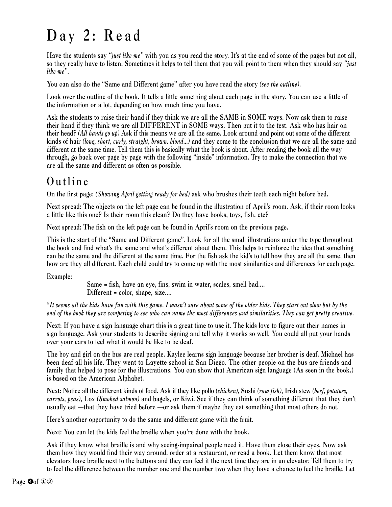## Day 2: Read

Have the students say *"just like me"* with you as you read the story. It's at the end of some of the pages but not all, so they really have to listen. Sometimes it helps to tell them that you will point to them when they should say *"just like me"*.

You can also do the "Same and Different game" after you have read the story *(see the outline)*.

Look over the outline of the book. It tells a little something about each page in the story. You can use a little of the information or a lot, depending on how much time you have.

Ask the students to raise their hand if they think we are all the SAME in SOME ways. Now ask them to raise their hand if they think we are all DIFFERENT in SOME ways. Then put it to the test. Ask who has hair on their head? *(All hands go up)* Ask if this means we are all the same. Look around and point out some of the different kinds of hair *(long, short, curly, straight, brown, blond...)* and they come to the conclusion that we are all the same and different at the same time. Tell them this is basically what the book is about. After reading the book all the way through, go back over page by page with the following "inside" information. Try to make the connection that we are all the same and different as often as possible.

### Outline

On the first page: *(Showing April getting ready for bed)* ask who brushes their teeth each night before bed.

Next spread: The objects on the left page can be found in the illustration of April's room. Ask, if their room looks a little like this one? Is their room this clean? Do they have books, toys, fish, etc?

Next spread: The fish on the left page can be found in April's room on the previous page.

This is the start of the "Same and Different game". Look for all the small illustrations under the type throughout the book and find what's the same and what's different about them. This helps to reinforce the idea that something can be the same and the different at the same time. For the fish ask the kid's to tell how they are all the same, then how are they all different. Each child could try to come up with the most similarities and differences for each page.

Example:

Same = fish, have an eye, fins, swim in water, scales, smell bad.... Different = color, shape, size....

\**It seems all the kids have fun with this game. I wasn't sure about some of the older kids. They start out slow but by the end of the book they are competing to see who can name the most differences and similarities. They can get pretty creative.*

Next: If you have a sign language chart this is a great time to use it. The kids love to figure out their names in sign language. Ask your students to describe signing and tell why it works so well. You could all put your hands over your ears to feel what it would be like to be deaf.

The boy and girl on the bus are real people. Kaylee learns sign language because her brother is deaf. Michael has been deaf all his life. They went to Layette school in San Diego. The other people on the bus are friends and family that helped to pose for the illustrations. You can show that American sign language (As seen in the book.) is based on the American Alphabet.

Next: Notice all the different kinds of food. Ask if they like pollo *(chicken)*, Sushi *(raw fish)*, Irish stew *(beef, potatoes, carrots, peas)*, Lox *(Smoked salmon)* and bagels, or Kiwi. See if they can think of something different that they don't usually eat —that they have tried before —or ask them if maybe they eat something that most others do not.

Here's another opportunity to do the same and different game with the fruit.

Next: You can let the kids feel the braille when you're done with the book.

Ask if they know what braille is and why seeing-impaired people need it. Have them close their eyes. Now ask them how they would find their way around, order at a restaurant, or read a book. Let them know that most elevators have braille next to the buttons and they can feel it the next time they are in an elevator. Tell them to try to feel the difference between the number one and the number two when they have a chance to feel the braille. Let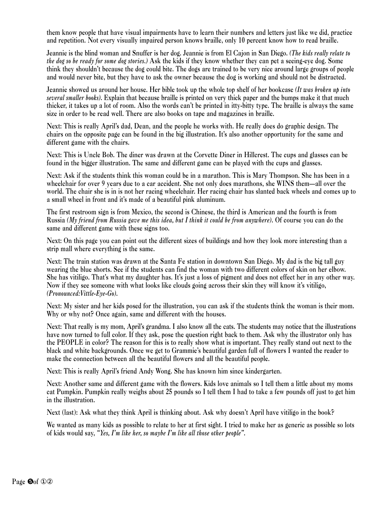them know people that have visual impairments have to learn their numbers and letters just like we did, practice and repetition. Not every visually impaired person knows braille, only 10 percent know how to read braille.

Jeannie is the blind woman and Snuffer is her dog. Jeannie is from El Cajon in San Diego. *(The kids really relate to the dog so be ready for some dog stories.)* Ask the kids if they know whether they can pet a seeing-eye dog. Some think they shouldn't because the dog could bite. The dogs are trained to be very nice around large groups of people and would never bite, but they have to ask the owner because the dog is working and should not be distracted.

Jeannie showed us around her house. Her bible took up the whole top shelf of her bookcase *(It was broken up into several smaller books)*. Explain that because braille is printed on very thick paper and the bumps make it that much thicker, it takes up a lot of room. Also the words can't be printed in itty-bitty type. The braille is always the same size in order to be read well. There are also books on tape and magazines in braille.

Next: This is really April's dad, Dean, and the people he works with. He really does do graphic design. The chairs on the opposite page can be found in the big illustration. It's also another opportunity for the same and different game with the chairs.

Next: This is Uncle Bob. The diner was drawn at the Corvette Diner in Hillcrest. The cups and glasses can be found in the bigger illustration. The same and different game can be played with the cups and glasses.

Next: Ask if the students think this woman could be in a marathon. This is Mary Thompson. She has been in a wheelchair for over 9 years due to a car accident. She not only does marathons, she WINS them—all over the world. The chair she is in is not her racing wheelchair. Her racing chair has slanted back wheels and comes up to a small wheel in front and it's made of a beautiful pink aluminum.

The first restroom sign is from Mexico, the second is Chinese, the third is American and the fourth is from Russia *(My friend from Russia gave me this idea, but I think it could be from anywhere)*. Of course you can do the same and different game with these signs too.

Next: On this page you can point out the different sizes of buildings and how they look more interesting than a strip mall where everything is the same.

Next: The train station was drawn at the Santa Fe station in downtown San Diego. My dad is the big tall guy wearing the blue shorts. See if the students can find the woman with two different colors of skin on her elbow. She has vitiligo. That's what my daughter has. It's just a loss of pigment and does not effect her in any other way. Now if they see someone with what looks like clouds going across their skin they will know it's vitiligo, *(Pronounced:Vittle-Eye-Go)*.

Next: My sister and her kids posed for the illustration, you can ask if the students think the woman is their mom. Why or why not? Once again, same and different with the houses.

Next: That really is my mom, April's grandma. I also know all the cats. The students may notice that the illustrations have now turned to full color. If they ask, pose the question right back to them. Ask why the illustrator only has the PEOPLE in color? The reason for this is to really show what is important. They really stand out next to the black and white backgrounds. Once we get to Grammie's beautiful garden full of flowers I wanted the reader to make the connection between all the beautiful flowers and all the beautiful people.

Next: This is really April's friend Andy Wong. She has known him since kindergarten.

Next: Another same and different game with the flowers. Kids love animals so I tell them a little about my moms cat Pumpkin. Pumpkin really weighs about 25 pounds so I tell them I had to take a few pounds off just to get him in the illustration.

Next (last): Ask what they think April is thinking about. Ask why doesn't April have vitiligo in the book?

We wanted as many kids as possible to relate to her at first sight. I tried to make her as generic as possible so lots of kids would say, *"Yes, I'm like her, so maybe I'm like all those other people"*.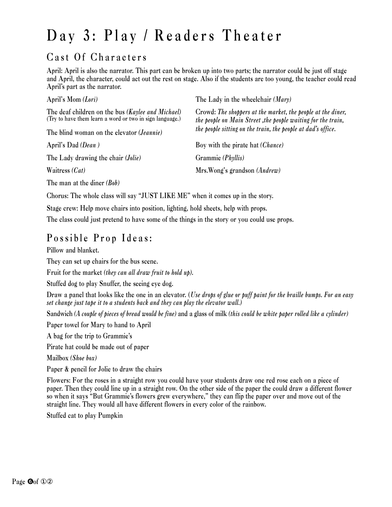# Day 3: Play / Readers Theater

### Cast Of Characters

April: April is also the narrator. This part can be broken up into two parts; the narrator could be just off stage and April, the character, could act out the rest on stage. Also if the students are too young, the teacher could read April's part as the narrator.

| April's Mom (Lori)                                                                                                  | The Lady in the wheelchair (Mary)                                                                                           |
|---------------------------------------------------------------------------------------------------------------------|-----------------------------------------------------------------------------------------------------------------------------|
| The deaf children on the bus ( <i>Kaylee and Michael</i> ) (Try to have them learn a word or two in sign language.) | Crowd: The shoppers at the market, the people at the diner,<br>the people on Main Street, the people waiting for the train, |
| The blind woman on the elevator ( <i>Jeannie</i> )                                                                  | the people sitting on the train, the people at dad's office.                                                                |
| April's Dad (Dean)                                                                                                  | Boy with the pirate hat <i>(Chance)</i>                                                                                     |
| The Lady drawing the chair ( <i>Jolie</i> )                                                                         | Grammie (Phyllis)                                                                                                           |
| Waitress $(Cat)$                                                                                                    | Mrs.Wong's grandson (Andrew)                                                                                                |

The man at the diner *(Bob)*

Chorus: The whole class will say "JUST LIKE ME" when it comes up in the story.

Stage crew: Help move chairs into position, lighting, hold sheets, help with props. The class could just pretend to have some of the things in the story or you could use props.

### Possible Prop Ideas:

Pillow and blanket.

They can set up chairs for the bus scene.

Fruit for the market *(they can all draw fruit to hold up)*.

Stuffed dog to play Snuffer, the seeing eye dog.

Draw a panel that looks like the one in an elevator. (*Use drops of glue or puff paint for the braille bumps. For an easy set change just tape it to a students back and they can play the elevator wall.)*

Sandwich *(A couple of pieces of bread would be fine)* and a glass of milk *(this could be white paper rolled like a cylinder)*

Paper towel for Mary to hand to April

A bag for the trip to Grammie's

Pirate hat could be made out of paper

Mailbox *(Shoe box)*

Paper & pencil for Jolie to draw the chairs

Flowers: For the roses in a straight row you could have your students draw one red rose each on a piece of paper. Then they could line up in a straight row. On the other side of the paper the could draw a different flower so when it says "But Grammie's flowers grew everywhere," they can flip the paper over and move out of the straight line. They would all have different flowers in every color of the rainbow.

Stuffed cat to play Pumpkin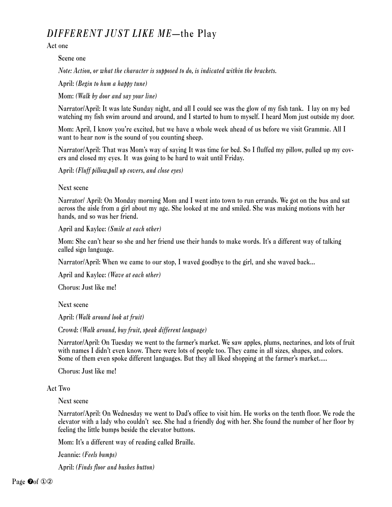### *DIFFERENT JUST LIKE ME*—the Play

Act one

Scene one

*Note: Action, or what the character is supposed to do, is indicated within the brackets.*

April: *(Begin to hum a happy tune)*

Mom: *(Walk by door and say your line)* 

Narrator/April: It was late Sunday night, and all I could see was the glow of my fish tank. I lay on my bed watching my fish swim around and around, and I started to hum to myself. I heard Mom just outside my door.

Mom: April, I know you're excited, but we have a whole week ahead of us before we visit Grammie. All I want to hear now is the sound of you counting sheep.

Narrator/April: That was Mom's way of saying It was time for bed. So I fluffed my pillow, pulled up my covers and closed my eyes. It was going to be hard to wait until Friday.

April: *(Fluff pillow,pull up covers, and close eyes)*

#### Next scene

Narrator/ April: On Monday morning Mom and I went into town to run errands. We got on the bus and sat across the aisle from a girl about my age. She looked at me and smiled. She was making motions with her hands, and so was her friend.

April and Kaylee: *(Smile at each other)*

Mom: She can't hear so she and her friend use their hands to make words. It's a different way of talking called sign language.

Narrator/April: When we came to our stop, I waved goodbye to the girl, and she waved back...

April and Kaylee: *(Wave at each other)*

Chorus: Just like me!

Next scene

April: *(Walk around look at fruit)*

Crowd: *(Walk around, buy fruit, speak different language)*

Narrator/April: On Tuesday we went to the farmer's market. We saw apples, plums, nectarines, and lots of fruit with names I didn't even know. There were lots of people too. They came in all sizes, shapes, and colors. Some of them even spoke different languages. But they all liked shopping at the farmer's market.....

Chorus: Just like me!

#### Act Two

Next scene

Narrator/April: On Wednesday we went to Dad's office to visit him. He works on the tenth floor. We rode the elevator with a lady who couldn't see. She had a friendly dog with her. She found the number of her floor by feeling the little bumps beside the elevator buttons.

Mom: It's a different way of reading called Braille.

Jeannie: *(Feels bumps)*

April: *(Finds floor and bushes button)*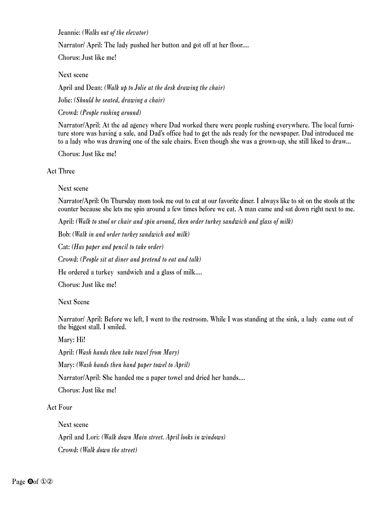Jeannie: *(Walks out of the elevator)*

Narrator/ April: The lady pushed her button and got off at her floor....

Chorus: Just like me!

Next scene

April and Dean: *(Walk up to Jolie at the desk drawing the chair)*

Jolie: *(Should be seated, drawing a chair)*

Crowd: *(People rushing around)* 

Narrator/April: At the ad agency where Dad worked there were people rushing everywhere. The local furniture store was having a sale, and Dad's office had to get the ads ready for the newspaper. Dad introduced me to a lady who was drawing one of the sale chairs. Even though she was a grown-up, she still liked to draw...

Chorus: Just like me!

### Act Three

### Next scene

Narrator/April: On Thursday mom took me out to eat at our favorite diner. I always like to sit on the stools at the counter because she lets me spin around a few times before we eat. A man came and sat down right next to me.

April: *(Walk to stool or chair and spin around, then order turkey sandwich and glass of milk)*

Bob: *(Walk in and order turkey sandwich and milk)*

Cat: *(Has paper and pencil to take order)*

Crowd: *(People sit at diner and pretend to eat and talk)*

He ordered a turkey sandwich and a glass of milk....

Chorus: Just like me!

Next Scene

Narrator/ April: Before we left, I went to the restroom. While I was standing at the sink, a lady came out of the biggest stall. I smiled.

Mary: Hi!

April: *(Wash hands then take towel from Mary)*

Mary: *(Wash hands then hand paper towel to April)*

Narrator/April: She handed me a paper towel and dried her hands....

Chorus: Just like me!

Act Four

Next scene

April and Lori: *(Walk down Main street. April looks in windows)* Crowd: *(Walk down the street)*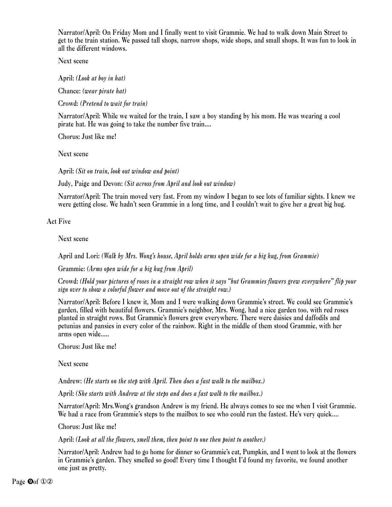Narrator/April: On Friday Mom and I finally went to visit Grammie. We had to walk down Main Street to get to the train station. We passed tall shops, narrow shops, wide shops, and small shops. It was fun to look in all the different windows.

Next scene

April: *(Look at boy in hat)*

Chance: *(wear pirate hat)*

Crowd: *(Pretend to wait for train)*

Narrator/April: While we waited for the train, I saw a boy standing by his mom. He was wearing a cool pirate hat. He was going to take the number five train....

Chorus: Just like me!

Next scene

April: *(Sit on train, look out window and point)*

Judy, Paige and Devon: *(Sit across from April and look out window)*

Narrator/April: The train moved very fast. From my window I began to see lots of familiar sights. I knew we were getting close. We hadn't seen Grammie in a long time, and I couldn't wait to give her a great big hug.

Act Five

Next scene

April and Lori: *(Walk by Mrs. Wong's house, April holds arms open wide for a big hug, from Grammie)*

Grammie: *(Arms open wide for a big hug from April)*

Crowd: *(Hold your pictures of roses in a straight row when it says "but Grammies flowers grew everywhere" flip your sign over to show a colorful flower and move out of the straight row.)*

Narrator/April: Before I knew it, Mom and I were walking down Grammie's street. We could see Grammie's garden, filled with beautiful flowers. Grammie's neighbor, Mrs. Wong, had a nice garden too, with red roses planted in straight rows. But Grammie's flowers grew everywhere. There were daisies and daffodils and petunias and pansies in every color of the rainbow. Right in the middle of them stood Grammie, with her arms open wide.....

Chorus: Just like me!

Next scene

Andrew: *(He starts on the step with April. Then does a fast walk to the mailbox.)*

April: *(She starts with Andrew at the steps and does a fast walk to the mailbox.)*

Narrator/April: Mrs.Wong's grandson Andrew is my friend. He always comes to see me when I visit Grammie. We had a race from Grammie's steps to the mailbox to see who could run the fastest. He's very quick....

Chorus: Just like me!

April: *(Look at all the flowers, smell them, then point to one then point to another.)*

Narrator/April: Andrew had to go home for dinner so Grammie's cat, Pumpkin, and I went to look at the flowers in Grammie's garden. They smelled so good! Every time I thought I'd found my favorite, we found another one just as pretty.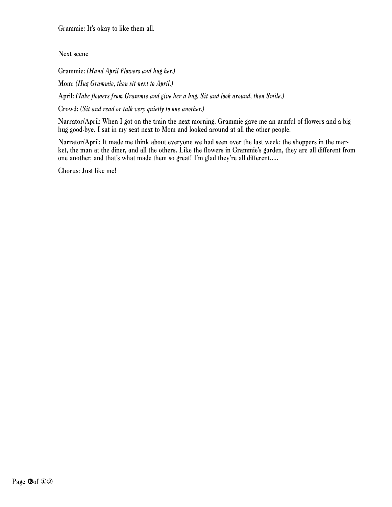Grammie: It's okay to like them all.

Next scene

Grammie: *(Hand April Flowers and hug her.)*

Mom: *(Hug Grammie, then sit next to April.)*

April: *(Take flowers from Grammie and give her a hug. Sit and look around, then Smile.)*

Crowd: *(Sit and read or talk very quietly to one another.)*

Narrator/April: When I got on the train the next morning, Grammie gave me an armful of flowers and a big hug good-bye. I sat in my seat next to Mom and looked around at all the other people.

Narrator/April: It made me think about everyone we had seen over the last week: the shoppers in the market, the man at the diner, and all the others. Like the flowers in Grammie's garden, they are all different from one another, and that's what made them so great! I'm glad they're all different.....

Chorus: Just like me!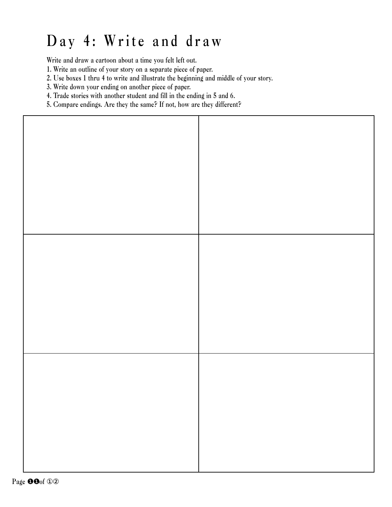# Day 4: Write and draw

Write and draw a cartoon about a time you felt left out.

- 1. Write an outline of your story on a separate piece of paper.
- 2. Use boxes 1 thru 4 to write and illustrate the beginning and middle of your story.
- 3. Write down your ending on another piece of paper.
- 4. Trade stories with another student and fill in the ending in 5 and 6.
- 5. Compare endings. Are they the same? If not, how are they different?